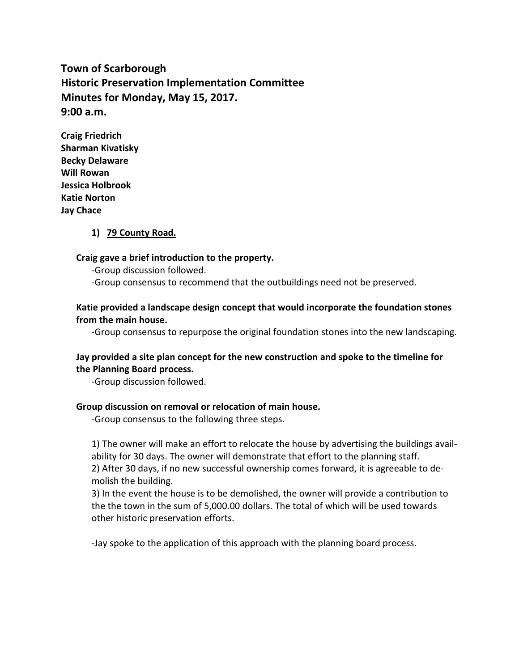**Town of Scarborough Historic Preservation Implementation Committee Minutes for Monday, May 15, 2017. 9:00 a.m.**

**Craig Friedrich Sharman Kivatisky Becky Delaware Will Rowan Jessica Holbrook Katie Norton Jay Chace**

### **1) 79 County Road.**

#### **Craig gave a brief introduction to the property.**

-Group discussion followed.

-Group consensus to recommend that the outbuildings need not be preserved.

## **Katie provided a landscape design concept that would incorporate the foundation stones from the main house.**

-Group consensus to repurpose the original foundation stones into the new landscaping.

### **Jay provided a site plan concept for the new construction and spoke to the timeline for the Planning Board process.**

-Group discussion followed.

#### **Group discussion on removal or relocation of main house.**

-Group consensus to the following three steps.

1) The owner will make an effort to relocate the house by advertising the buildings availability for 30 days. The owner will demonstrate that effort to the planning staff. 2) After 30 days, if no new successful ownership comes forward, it is agreeable to demolish the building.

3) In the event the house is to be demolished, the owner will provide a contribution to the the town in the sum of 5,000.00 dollars. The total of which will be used towards other historic preservation efforts.

-Jay spoke to the application of this approach with the planning board process.